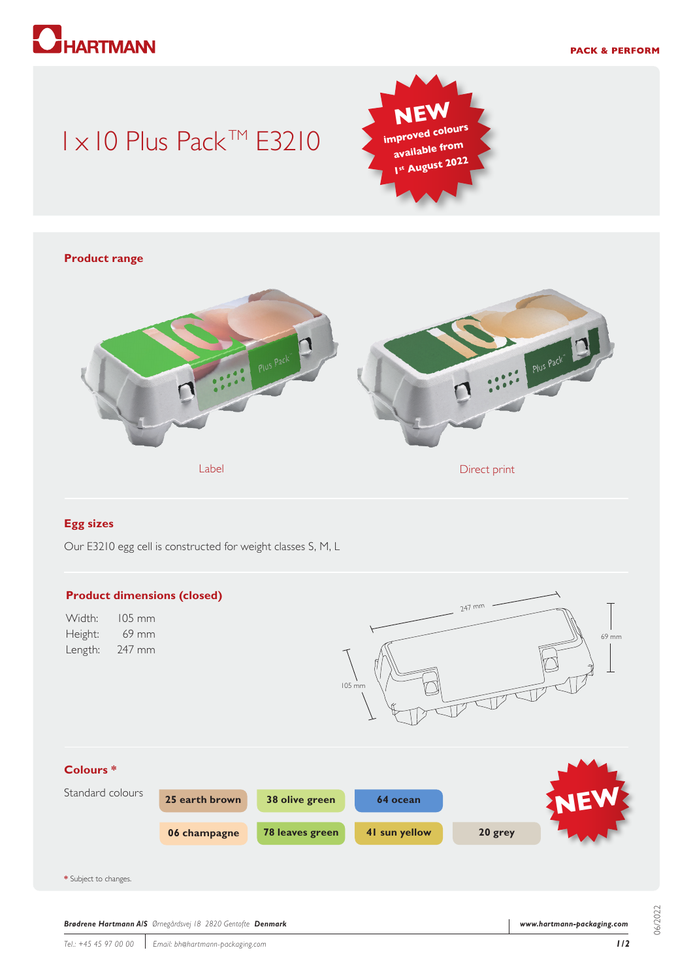

## 1 x 10 Plus Pack™ E3210



# **Product range** Plus Pack Label Direct print Contact Print Contact Print Direct print

#### **Egg sizes**

Our E3210 egg cell is constructed for weight classes S, M, L



06/2022